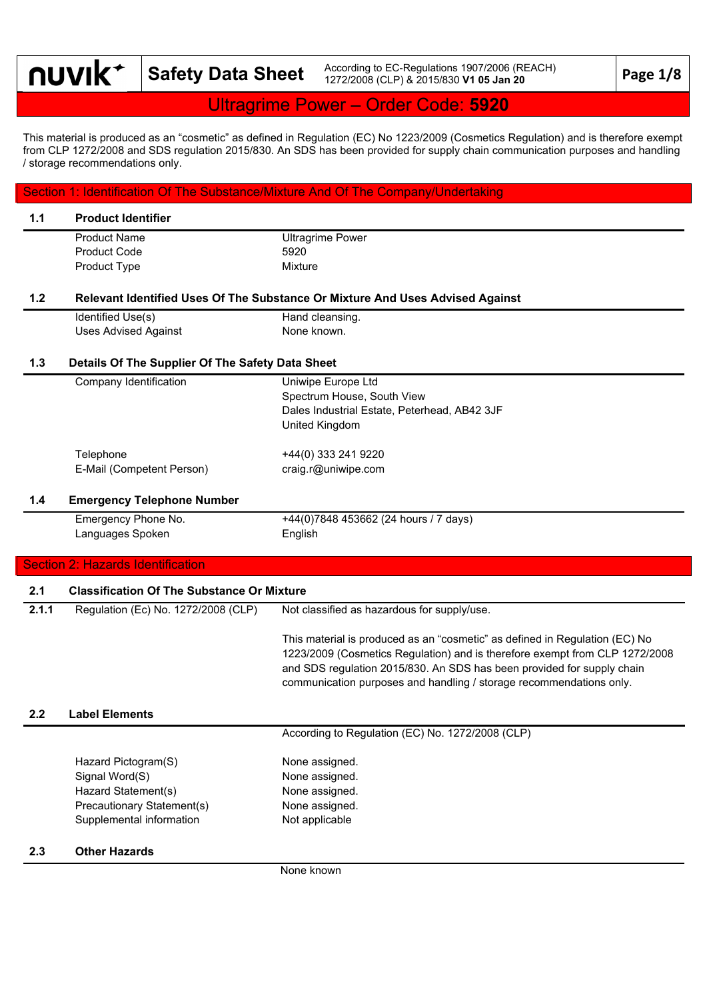**Safety Data Sheet** According to EC-Regulations 1907/2006 (REACH) **Page 1/8 Page 1/8** 

## Ultragrime Power – Order Code: **5920**

This material is produced as an "cosmetic" as defined in Regulation (EC) No 1223/2009 (Cosmetics Regulation) and is therefore exempt from CLP 1272/2008 and SDS regulation 2015/830. An SDS has been provided for supply chain communication purposes and handling / storage recommendations only.

|       |                                                   | Section 1: Identification Of The Substance/Mixture And Of The Company/Undertaking |
|-------|---------------------------------------------------|-----------------------------------------------------------------------------------|
| $1.1$ | <b>Product Identifier</b>                         |                                                                                   |
|       | <b>Product Name</b>                               | <b>Ultragrime Power</b>                                                           |
|       | <b>Product Code</b>                               | 5920                                                                              |
|       | Product Type                                      | Mixture                                                                           |
|       |                                                   |                                                                                   |
| 1.2   |                                                   | Relevant Identified Uses Of The Substance Or Mixture And Uses Advised Against     |
|       | Identified Use(s)                                 | Hand cleansing.                                                                   |
|       | <b>Uses Advised Against</b>                       | None known.                                                                       |
|       |                                                   |                                                                                   |
| 1.3   | Details Of The Supplier Of The Safety Data Sheet  |                                                                                   |
|       | Company Identification                            | Uniwipe Europe Ltd                                                                |
|       |                                                   | Spectrum House, South View                                                        |
|       |                                                   | Dales Industrial Estate, Peterhead, AB42 3JF                                      |
|       |                                                   | United Kingdom                                                                    |
|       |                                                   |                                                                                   |
|       | Telephone                                         | +44(0) 333 241 9220                                                               |
|       | E-Mail (Competent Person)                         | craig.r@uniwipe.com                                                               |
|       |                                                   |                                                                                   |
| 1.4   | <b>Emergency Telephone Number</b>                 |                                                                                   |
|       | Emergency Phone No.                               | +44(0)7848 453662 (24 hours / 7 days)                                             |
|       | Languages Spoken                                  | English                                                                           |
|       |                                                   |                                                                                   |
|       | <b>Section 2: Hazards Identification</b>          |                                                                                   |
| 2.1   | <b>Classification Of The Substance Or Mixture</b> |                                                                                   |
| 2.1.1 | Regulation (Ec) No. 1272/2008 (CLP)               | Not classified as hazardous for supply/use.                                       |
|       |                                                   |                                                                                   |
|       |                                                   | This material is produced as an "cosmetic" as defined in Regulation (EC) No       |
|       |                                                   | 1223/2009 (Cosmetics Regulation) and is therefore exempt from CLP 1272/2008       |
|       |                                                   | and SDS regulation 2015/830. An SDS has been provided for supply chain            |
|       |                                                   | communication purposes and handling / storage recommendations only.               |
|       |                                                   |                                                                                   |
| 2.2   | <b>Label Elements</b>                             |                                                                                   |
|       |                                                   | According to Regulation (EC) No. 1272/2008 (CLP)                                  |
|       | Hazard Pictogram(S)                               | None assigned.                                                                    |
|       | Signal Word(S)                                    | None assigned.                                                                    |
|       | Hazard Statement(s)                               | None assigned.                                                                    |
|       |                                                   |                                                                                   |
|       | Precautionary Statement(s)                        | None assigned.                                                                    |
|       | Supplemental information                          | Not applicable                                                                    |
| 2.3   | <b>Other Hazards</b>                              |                                                                                   |
|       |                                                   | None known                                                                        |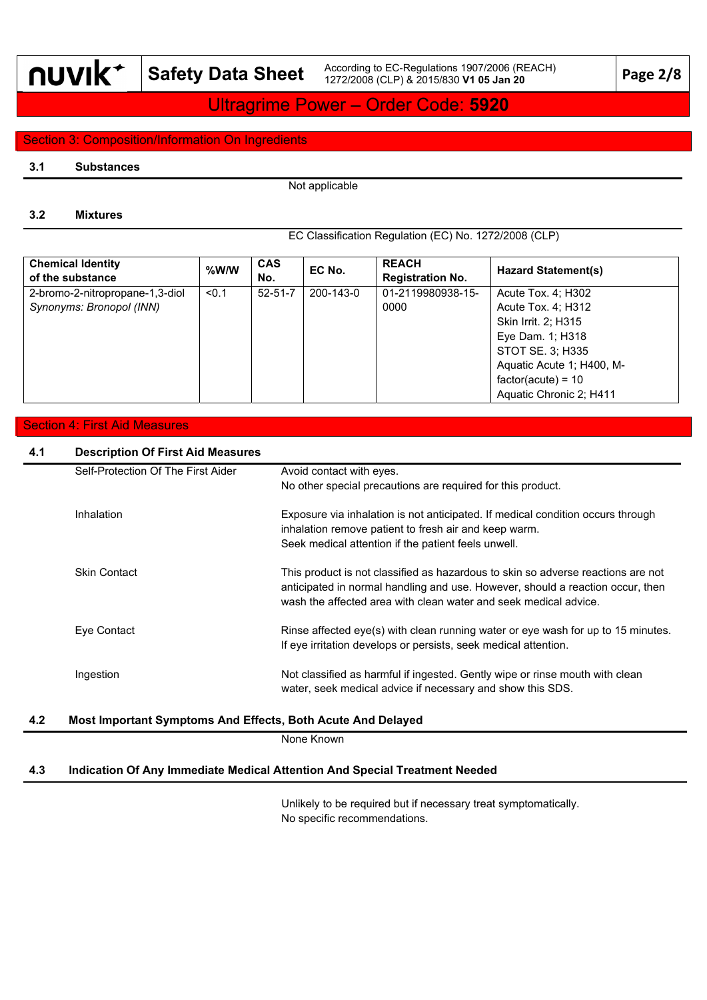**Safety Data Sheet** According to EC-Regulations 1907/2006 (REACH) **Page 2/8 Page 2/8** 

## Ultragrime Power – Order Code: **5920**

#### Section 3: Composition/Information On Ingredients

#### **3.1 Substances**

Not applicable

### **3.2 Mixtures**

EC Classification Regulation (EC) No. 1272/2008 (CLP)

| <b>Chemical Identity</b><br>of the substance | %W/W  | <b>CAS</b><br>No. | EC No.    | <b>REACH</b><br><b>Registration No.</b> | <b>Hazard Statement(s)</b> |
|----------------------------------------------|-------|-------------------|-----------|-----------------------------------------|----------------------------|
| 2-bromo-2-nitropropane-1,3-diol              | < 0.1 | $52 - 51 - 7$     | 200-143-0 | 01-2119980938-15-                       | Acute Tox. 4: H302         |
| Synonyms: Bronopol (INN)                     |       |                   |           | 0000                                    | Acute Tox. 4; H312         |
|                                              |       |                   |           |                                         | Skin Irrit. 2; H315        |
|                                              |       |                   |           |                                         | Eye Dam. 1; H318           |
|                                              |       |                   |           |                                         | STOT SE. 3; H335           |
|                                              |       |                   |           |                                         | Aquatic Acute 1; H400, M-  |
|                                              |       |                   |           |                                         | $factor(acute) = 10$       |
|                                              |       |                   |           |                                         | Aquatic Chronic 2; H411    |

#### Section 4: First Aid Measures

## **4.1 Description Of First Aid Measures**

| Self-Protection Of The First Aider | Avoid contact with eyes.                                                                                                                                                                                                               |
|------------------------------------|----------------------------------------------------------------------------------------------------------------------------------------------------------------------------------------------------------------------------------------|
|                                    | No other special precautions are required for this product.                                                                                                                                                                            |
| Inhalation                         | Exposure via inhalation is not anticipated. If medical condition occurs through<br>inhalation remove patient to fresh air and keep warm.<br>Seek medical attention if the patient feels unwell.                                        |
| <b>Skin Contact</b>                | This product is not classified as hazardous to skin so adverse reactions are not<br>anticipated in normal handling and use. However, should a reaction occur, then<br>wash the affected area with clean water and seek medical advice. |
| Eye Contact                        | Rinse affected eye(s) with clean running water or eye wash for up to 15 minutes.<br>If eye irritation develops or persists, seek medical attention.                                                                                    |
| Ingestion                          | Not classified as harmful if ingested. Gently wipe or rinse mouth with clean<br>water, seek medical advice if necessary and show this SDS.                                                                                             |

None Known

#### **4.3 Indication Of Any Immediate Medical Attention And Special Treatment Needed**

Unlikely to be required but if necessary treat symptomatically. No specific recommendations.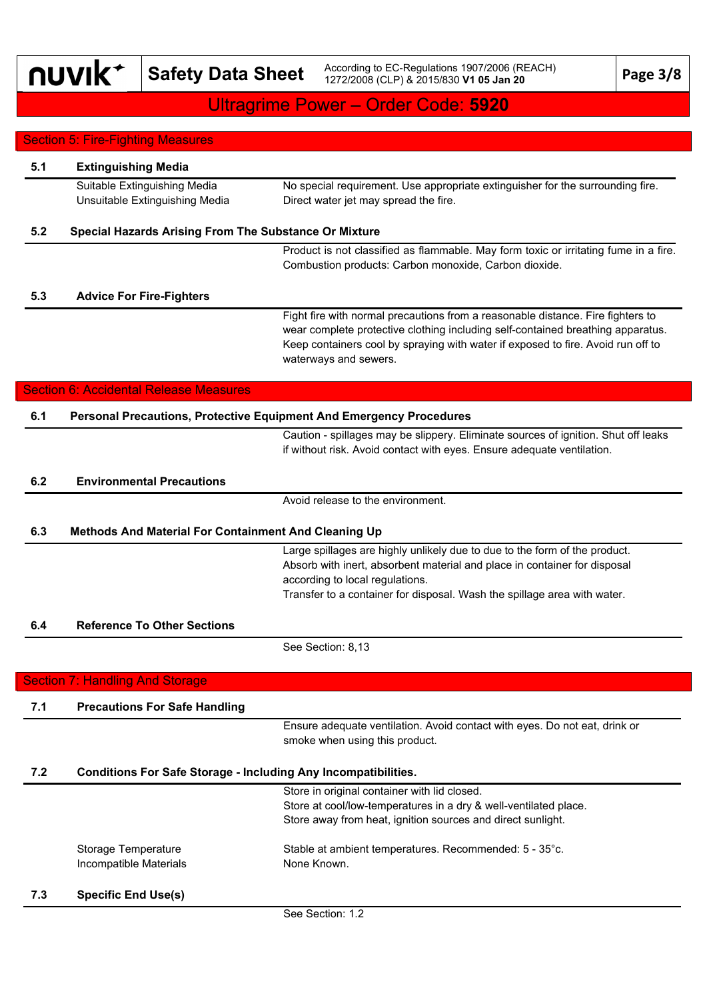**Safety Data Sheet** According to EC-Regulations 1907/2006 (REACH) **Page 3/8 Page 3/8** 

## Ultragrime Power – Order Code: **5920**

|     | <b>Section 5: Fire-Fighting Measures</b>                              |                                                                                                                                                                                                                                                                                 |
|-----|-----------------------------------------------------------------------|---------------------------------------------------------------------------------------------------------------------------------------------------------------------------------------------------------------------------------------------------------------------------------|
| 5.1 | <b>Extinguishing Media</b>                                            |                                                                                                                                                                                                                                                                                 |
|     | Suitable Extinguishing Media<br>Unsuitable Extinguishing Media        | No special requirement. Use appropriate extinguisher for the surrounding fire.<br>Direct water jet may spread the fire.                                                                                                                                                         |
| 5.2 | <b>Special Hazards Arising From The Substance Or Mixture</b>          |                                                                                                                                                                                                                                                                                 |
|     |                                                                       | Product is not classified as flammable. May form toxic or irritating fume in a fire.<br>Combustion products: Carbon monoxide, Carbon dioxide.                                                                                                                                   |
| 5.3 | <b>Advice For Fire-Fighters</b>                                       |                                                                                                                                                                                                                                                                                 |
|     |                                                                       | Fight fire with normal precautions from a reasonable distance. Fire fighters to<br>wear complete protective clothing including self-contained breathing apparatus.<br>Keep containers cool by spraying with water if exposed to fire. Avoid run off to<br>waterways and sewers. |
|     | <b>Section 6: Accidental Release Measures</b>                         |                                                                                                                                                                                                                                                                                 |
| 6.1 |                                                                       | <b>Personal Precautions, Protective Equipment And Emergency Procedures</b>                                                                                                                                                                                                      |
|     |                                                                       | Caution - spillages may be slippery. Eliminate sources of ignition. Shut off leaks<br>if without risk. Avoid contact with eyes. Ensure adequate ventilation.                                                                                                                    |
| 6.2 | <b>Environmental Precautions</b>                                      |                                                                                                                                                                                                                                                                                 |
|     |                                                                       | Avoid release to the environment.                                                                                                                                                                                                                                               |
| 6.3 | <b>Methods And Material For Containment And Cleaning Up</b>           |                                                                                                                                                                                                                                                                                 |
|     |                                                                       | Large spillages are highly unlikely due to due to the form of the product.<br>Absorb with inert, absorbent material and place in container for disposal<br>according to local regulations.<br>Transfer to a container for disposal. Wash the spillage area with water.          |
| 6.4 | <b>Reference To Other Sections</b>                                    |                                                                                                                                                                                                                                                                                 |
|     |                                                                       | See Section: 8,13                                                                                                                                                                                                                                                               |
|     | <b>Section 7: Handling And Storage</b>                                |                                                                                                                                                                                                                                                                                 |
| 7.1 | <b>Precautions For Safe Handling</b>                                  |                                                                                                                                                                                                                                                                                 |
|     |                                                                       | Ensure adequate ventilation. Avoid contact with eyes. Do not eat, drink or                                                                                                                                                                                                      |
|     |                                                                       | smoke when using this product.                                                                                                                                                                                                                                                  |
| 7.2 | <b>Conditions For Safe Storage - Including Any Incompatibilities.</b> |                                                                                                                                                                                                                                                                                 |
|     |                                                                       | Store in original container with lid closed.<br>Store at cool/low-temperatures in a dry & well-ventilated place.<br>Store away from heat, ignition sources and direct sunlight.                                                                                                 |
|     | Storage Temperature<br>Incompatible Materials                         | Stable at ambient temperatures. Recommended: 5 - 35°c.<br>None Known.                                                                                                                                                                                                           |
| 7.3 | <b>Specific End Use(s)</b>                                            |                                                                                                                                                                                                                                                                                 |
|     |                                                                       | See Section: 1.2                                                                                                                                                                                                                                                                |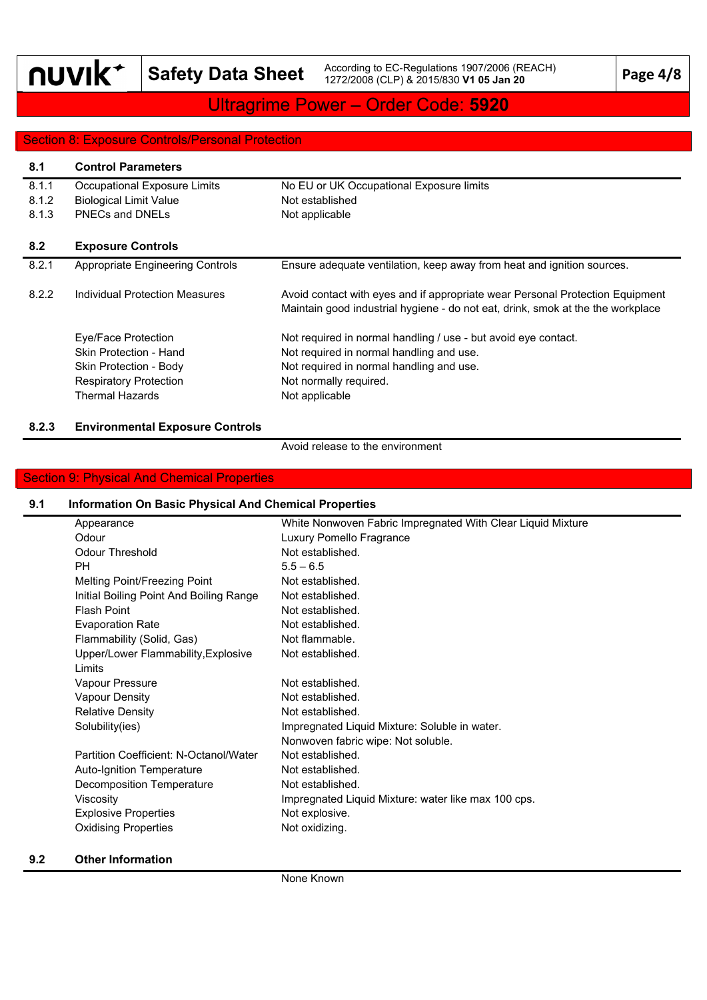**Safety Data Sheet** According to EC-Regulations 1907/2006 (REACH) **Page 4/8 Page 4/8** 

## Ultragrime Power – Order Code: **5920**

#### Section 8: Exposure Controls/Personal Protection

| 8.1   | <b>Control Parameters</b>               |                                                                                                                                                                  |
|-------|-----------------------------------------|------------------------------------------------------------------------------------------------------------------------------------------------------------------|
| 8.1.1 | Occupational Exposure Limits            | No EU or UK Occupational Exposure limits                                                                                                                         |
| 8.1.2 | <b>Biological Limit Value</b>           | Not established                                                                                                                                                  |
| 8.1.3 | <b>PNECs and DNELs</b>                  | Not applicable                                                                                                                                                   |
| 8.2   | <b>Exposure Controls</b>                |                                                                                                                                                                  |
| 8.2.1 | <b>Appropriate Engineering Controls</b> | Ensure adequate ventilation, keep away from heat and ignition sources.                                                                                           |
| 8.2.2 | Individual Protection Measures          | Avoid contact with eyes and if appropriate wear Personal Protection Equipment<br>Maintain good industrial hygiene - do not eat, drink, smok at the the workplace |
|       | Eye/Face Protection                     | Not required in normal handling / use - but avoid eye contact.                                                                                                   |
|       | Skin Protection - Hand                  | Not required in normal handling and use.                                                                                                                         |
|       | Skin Protection - Body                  | Not required in normal handling and use.                                                                                                                         |
|       | <b>Respiratory Protection</b>           | Not normally required.                                                                                                                                           |
|       | <b>Thermal Hazards</b>                  | Not applicable                                                                                                                                                   |
|       |                                         |                                                                                                                                                                  |

#### **8.2.3 Environmental Exposure Controls**

Avoid release to the environment

#### Section 9: Physical And Chemical Properties

#### **9.1 Information On Basic Physical And Chemical Properties**

| Appearance                              | White Nonwoven Fabric Impregnated With Clear Liquid Mixture |
|-----------------------------------------|-------------------------------------------------------------|
| Odour                                   | Luxury Pomello Fragrance                                    |
| Odour Threshold                         | Not established.                                            |
| <b>PH</b>                               | $5.5 - 6.5$                                                 |
| Melting Point/Freezing Point            | Not established.                                            |
| Initial Boiling Point And Boiling Range | Not established.                                            |
| Flash Point                             | Not established.                                            |
| <b>Evaporation Rate</b>                 | Not established.                                            |
| Flammability (Solid, Gas)               | Not flammable.                                              |
| Upper/Lower Flammability, Explosive     | Not established.                                            |
| Limits                                  |                                                             |
| Vapour Pressure                         | Not established.                                            |
| <b>Vapour Density</b>                   | Not established.                                            |
| <b>Relative Density</b>                 | Not established.                                            |
| Solubility(ies)                         | Impregnated Liquid Mixture: Soluble in water.               |
|                                         | Nonwoven fabric wipe: Not soluble.                          |
| Partition Coefficient: N-Octanol/Water  | Not established.                                            |
| Auto-Ignition Temperature               | Not established.                                            |
| <b>Decomposition Temperature</b>        | Not established.                                            |
| Viscosity                               | Impregnated Liquid Mixture: water like max 100 cps.         |
| <b>Explosive Properties</b>             | Not explosive.                                              |
| <b>Oxidising Properties</b>             | Not oxidizing.                                              |
|                                         |                                                             |

#### **9.2 Other Information**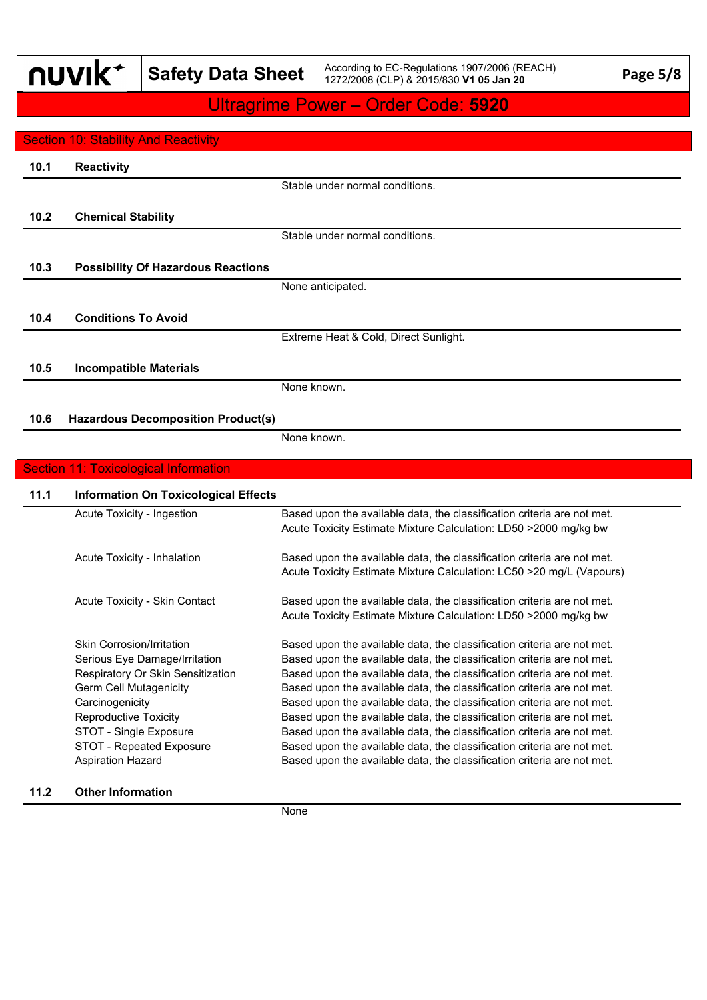**Safety Data Sheet** According to EC-Regulations 1907/2006 (REACH) **Page 5/8 Page 18** 

## Ultragrime Power – Order Code: **5920**

|      | <b>Section 10: Stability And Reactivity</b>            |                                                                                                                                                    |
|------|--------------------------------------------------------|----------------------------------------------------------------------------------------------------------------------------------------------------|
| 10.1 | <b>Reactivity</b>                                      |                                                                                                                                                    |
|      |                                                        | Stable under normal conditions.                                                                                                                    |
| 10.2 | <b>Chemical Stability</b>                              |                                                                                                                                                    |
|      |                                                        | Stable under normal conditions.                                                                                                                    |
| 10.3 | <b>Possibility Of Hazardous Reactions</b>              |                                                                                                                                                    |
|      |                                                        | None anticipated.                                                                                                                                  |
| 10.4 | <b>Conditions To Avoid</b>                             |                                                                                                                                                    |
|      |                                                        | Extreme Heat & Cold, Direct Sunlight.                                                                                                              |
| 10.5 | <b>Incompatible Materials</b>                          |                                                                                                                                                    |
|      |                                                        | None known.                                                                                                                                        |
| 10.6 | <b>Hazardous Decomposition Product(s)</b>              |                                                                                                                                                    |
|      |                                                        |                                                                                                                                                    |
|      |                                                        | None known.                                                                                                                                        |
|      | <b>Section 11: Toxicological Information</b>           |                                                                                                                                                    |
| 11.1 | <b>Information On Toxicological Effects</b>            |                                                                                                                                                    |
|      | Acute Toxicity - Ingestion                             | Based upon the available data, the classification criteria are not met.                                                                            |
|      |                                                        | Acute Toxicity Estimate Mixture Calculation: LD50 >2000 mg/kg bw                                                                                   |
|      | Acute Toxicity - Inhalation                            | Based upon the available data, the classification criteria are not met.                                                                            |
|      |                                                        | Acute Toxicity Estimate Mixture Calculation: LC50 > 20 mg/L (Vapours)                                                                              |
|      | Acute Toxicity - Skin Contact                          | Based upon the available data, the classification criteria are not met.                                                                            |
|      |                                                        | Acute Toxicity Estimate Mixture Calculation: LD50 >2000 mg/kg bw                                                                                   |
|      | <b>Skin Corrosion/Irritation</b>                       | Based upon the available data, the classification criteria are not met.                                                                            |
|      | Serious Eye Damage/Irritation                          | Based upon the available data, the classification criteria are not met.                                                                            |
|      | Respiratory Or Skin Sensitization                      | Based upon the available data, the classification criteria are not met.                                                                            |
|      | <b>Germ Cell Mutagenicity</b>                          | Based upon the available data, the classification criteria are not met.                                                                            |
|      | Carcinogenicity                                        | Based upon the available data, the classification criteria are not met.                                                                            |
|      | <b>Reproductive Toxicity</b><br>STOT - Single Exposure | Based upon the available data, the classification criteria are not met.<br>Based upon the available data, the classification criteria are not met. |
|      | STOT - Repeated Exposure                               | Based upon the available data, the classification criteria are not met.                                                                            |
|      | <b>Aspiration Hazard</b>                               | Based upon the available data, the classification criteria are not met.                                                                            |
|      |                                                        |                                                                                                                                                    |

#### **11.2** Other Information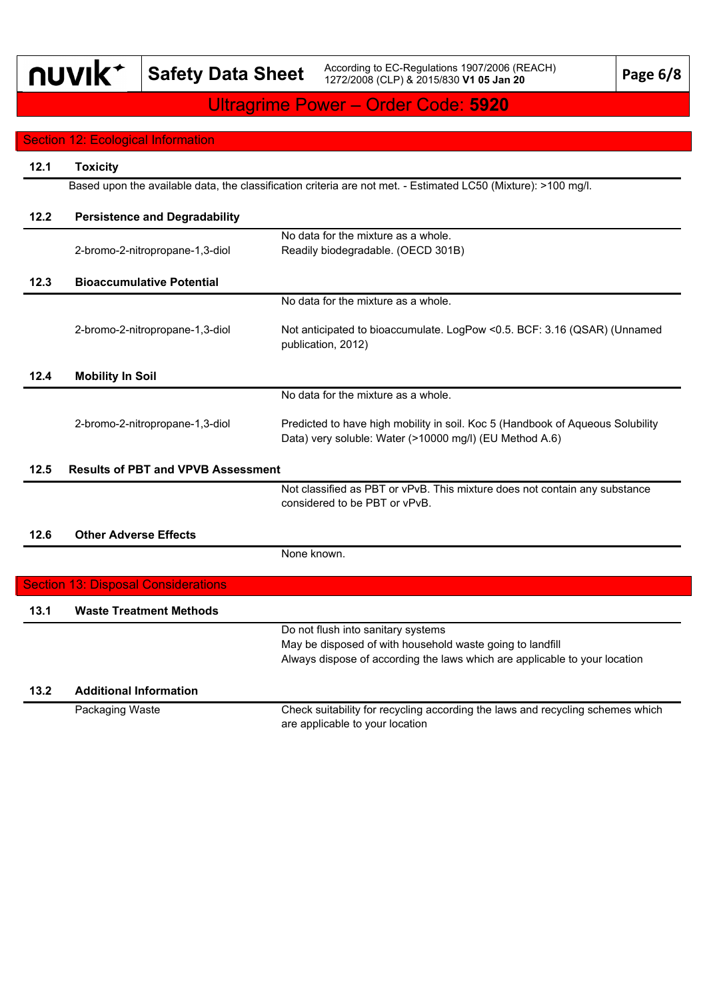$\overline{\phantom{a}}$ 

**Safety Data Sheet** According to EC-Regulations 1907/2006 (REACH) **Page 6/8 Page 6/8** 

## Ultragrime Power – Order Code: **5920**

### Section 12: Ecological Information

| 12.1 | <b>Toxicity</b>                            |                                                                                                                                                                               |
|------|--------------------------------------------|-------------------------------------------------------------------------------------------------------------------------------------------------------------------------------|
|      |                                            | Based upon the available data, the classification criteria are not met. - Estimated LC50 (Mixture): >100 mg/l.                                                                |
| 12.2 | <b>Persistence and Degradability</b>       |                                                                                                                                                                               |
|      | 2-bromo-2-nitropropane-1,3-diol            | No data for the mixture as a whole.<br>Readily biodegradable. (OECD 301B)                                                                                                     |
| 12.3 | <b>Bioaccumulative Potential</b>           |                                                                                                                                                                               |
|      |                                            | No data for the mixture as a whole.                                                                                                                                           |
|      | 2-bromo-2-nitropropane-1,3-diol            | Not anticipated to bioaccumulate. LogPow < 0.5. BCF: 3.16 (QSAR) (Unnamed<br>publication, 2012)                                                                               |
| 12.4 | <b>Mobility In Soil</b>                    |                                                                                                                                                                               |
|      |                                            | No data for the mixture as a whole.                                                                                                                                           |
|      | 2-bromo-2-nitropropane-1,3-diol            | Predicted to have high mobility in soil. Koc 5 (Handbook of Aqueous Solubility<br>Data) very soluble: Water (>10000 mg/l) (EU Method A.6)                                     |
| 12.5 | <b>Results of PBT and VPVB Assessment</b>  |                                                                                                                                                                               |
|      |                                            | Not classified as PBT or vPvB. This mixture does not contain any substance<br>considered to be PBT or vPvB.                                                                   |
| 12.6 | <b>Other Adverse Effects</b>               |                                                                                                                                                                               |
|      |                                            | None known.                                                                                                                                                                   |
|      | <b>Section 13: Disposal Considerations</b> |                                                                                                                                                                               |
| 13.1 | <b>Waste Treatment Methods</b>             |                                                                                                                                                                               |
|      |                                            | Do not flush into sanitary systems<br>May be disposed of with household waste going to landfill<br>Always dispose of according the laws which are applicable to your location |
| 13.2 | <b>Additional Information</b>              |                                                                                                                                                                               |
|      | Packaging Waste                            | Check suitability for recycling according the laws and recycling schemes which<br>are applicable to your location                                                             |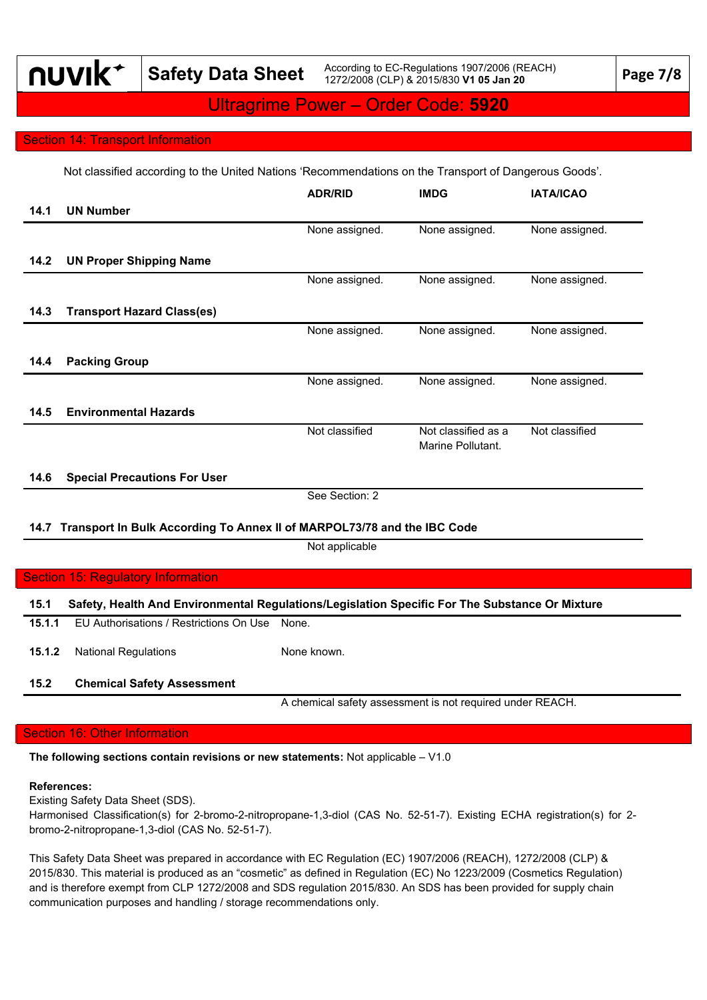nuvik\*

**Safety Data Sheet** According to EC-Regulations 1907/2006 (REACH) **Spate 3 Safety** Data 20 1272/2008 (CLP) & 2015/830 **V1 05 Jan 20 Page 7/8**

## Ultragrime Power – Order Code: **5920**

#### Section 14: Transport Information

Not classified according to the United Nations 'Recommendations on the Transport of Dangerous Goods'.

|        |                                                                                                | <b>ADR/RID</b>                                            | <b>IMDG</b>                              | <b>IATA/ICAO</b> |
|--------|------------------------------------------------------------------------------------------------|-----------------------------------------------------------|------------------------------------------|------------------|
| 14.1   | <b>UN Number</b>                                                                               |                                                           |                                          |                  |
|        |                                                                                                | None assigned.                                            | None assigned.                           | None assigned.   |
|        |                                                                                                |                                                           |                                          |                  |
| 14.2   | <b>UN Proper Shipping Name</b>                                                                 |                                                           |                                          |                  |
|        |                                                                                                | None assigned.                                            | None assigned.                           | None assigned.   |
| 14.3   | <b>Transport Hazard Class(es)</b>                                                              |                                                           |                                          |                  |
|        |                                                                                                | None assigned.                                            | None assigned.                           | None assigned.   |
| 14.4   | <b>Packing Group</b>                                                                           |                                                           |                                          |                  |
|        |                                                                                                | None assigned.                                            | None assigned.                           | None assigned.   |
| 14.5   | <b>Environmental Hazards</b>                                                                   |                                                           |                                          |                  |
|        |                                                                                                | Not classified                                            | Not classified as a<br>Marine Pollutant. | Not classified   |
| 14.6   | <b>Special Precautions For User</b>                                                            |                                                           |                                          |                  |
|        |                                                                                                | See Section: 2                                            |                                          |                  |
|        | 14.7 Transport In Bulk According To Annex II of MARPOL73/78 and the IBC Code                   |                                                           |                                          |                  |
|        |                                                                                                | Not applicable                                            |                                          |                  |
|        |                                                                                                |                                                           |                                          |                  |
|        | <b>Section 15: Regulatory Information</b>                                                      |                                                           |                                          |                  |
| 15.1   | Safety, Health And Environmental Regulations/Legislation Specific For The Substance Or Mixture |                                                           |                                          |                  |
| 15.1.1 | EU Authorisations / Restrictions On Use                                                        | None.                                                     |                                          |                  |
| 15.1.2 | <b>National Regulations</b>                                                                    | None known.                                               |                                          |                  |
| 15.2   | <b>Chemical Safety Assessment</b>                                                              |                                                           |                                          |                  |
|        |                                                                                                | A chemical safety assessment is not required under REACH. |                                          |                  |

### Section 16: Other Information

**The following sections contain revisions or new statements:** Not applicable – V1.0

#### **References:**

Existing Safety Data Sheet (SDS).

Harmonised Classification(s) for 2-bromo-2-nitropropane-1,3-diol (CAS No. 52-51-7). Existing ECHA registration(s) for 2 bromo-2-nitropropane-1,3-diol (CAS No. 52-51-7).

This Safety Data Sheet was prepared in accordance with EC Regulation (EC) 1907/2006 (REACH), 1272/2008 (CLP) & 2015/830. This material is produced as an "cosmetic" as defined in Regulation (EC) No 1223/2009 (Cosmetics Regulation) and is therefore exempt from CLP 1272/2008 and SDS regulation 2015/830. An SDS has been provided for supply chain communication purposes and handling / storage recommendations only.